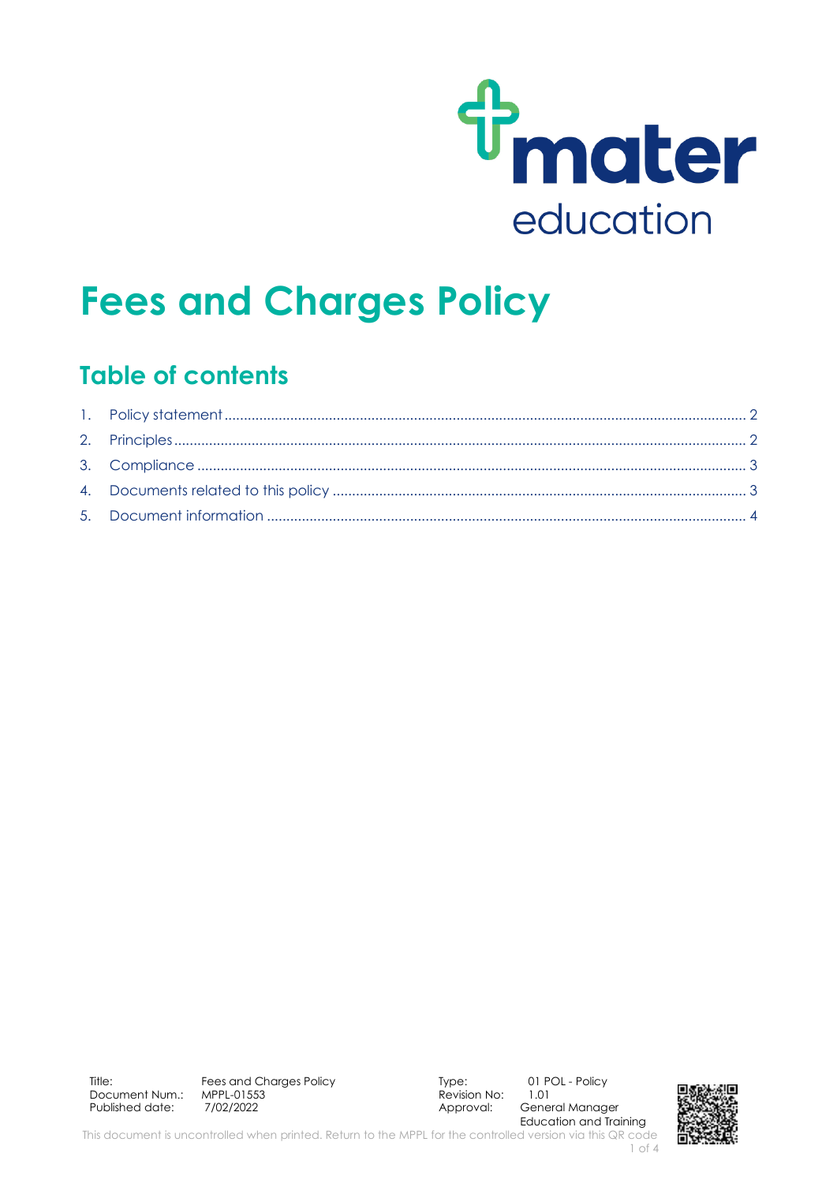

# **Fees and Charges Policy**

### **Table of contents**

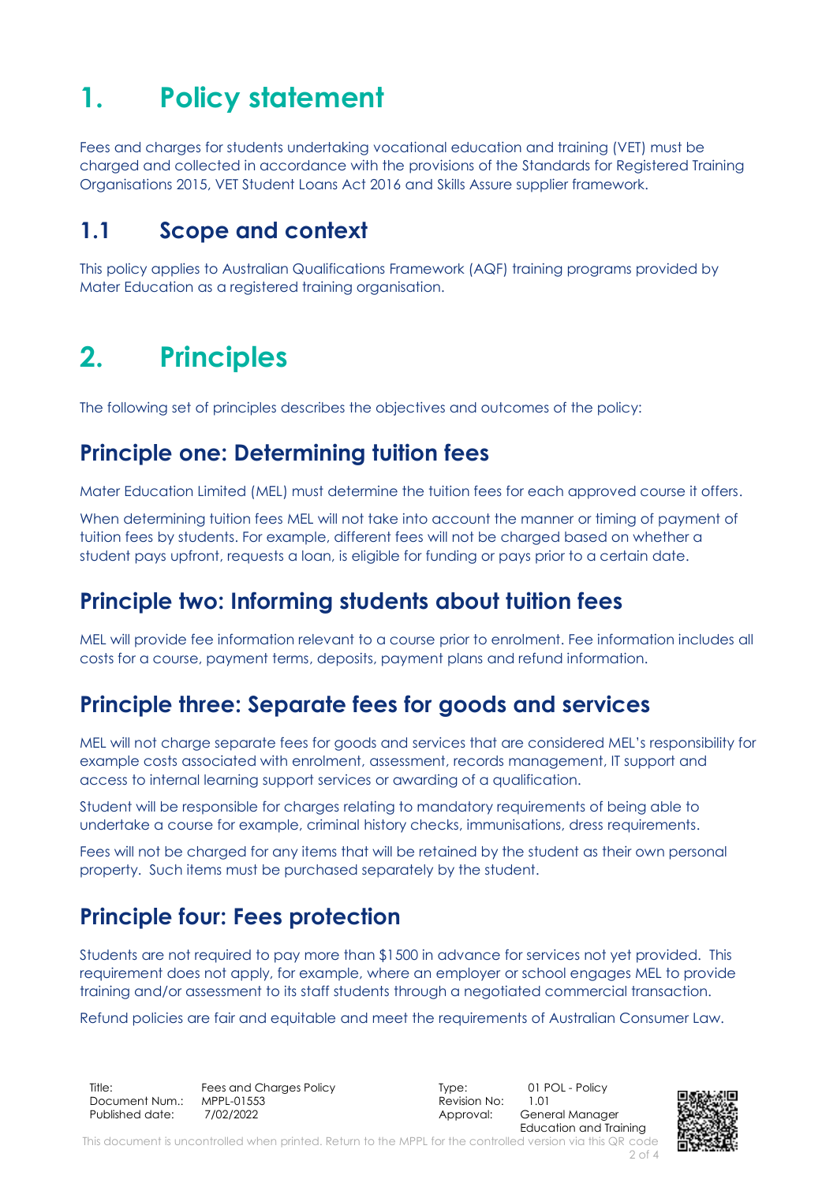## <span id="page-1-0"></span>**1. Policy statement**

Fees and charges for students undertaking vocational education and training (VET) must be charged and collected in accordance with the provisions of the Standards for Registered Training Organisations 2015, VET Student Loans Act 2016 and Skills Assure supplier framework.

### **1.1 Scope and context**

This policy applies to Australian Qualifications Framework (AQF) training programs provided by Mater Education as a registered training organisation.

## <span id="page-1-1"></span>**2. Principles**

The following set of principles describes the objectives and outcomes of the policy:

### **Principle one: Determining tuition fees**

Mater Education Limited (MEL) must determine the tuition fees for each approved course it offers.

When determining tuition fees MEL will not take into account the manner or timing of payment of tuition fees by students. For example, different fees will not be charged based on whether a student pays upfront, requests a loan, is eligible for funding or pays prior to a certain date.

### **Principle two: Informing students about tuition fees**

MEL will provide fee information relevant to a course prior to enrolment. Fee information includes all costs for a course, payment terms, deposits, payment plans and refund information.

### **Principle three: Separate fees for goods and services**

MEL will not charge separate fees for goods and services that are considered MEL's responsibility for example costs associated with enrolment, assessment, records management, IT support and access to internal learning support services or awarding of a qualification.

Student will be responsible for charges relating to mandatory requirements of being able to undertake a course for example, criminal history checks, immunisations, dress requirements.

Fees will not be charged for any items that will be retained by the student as their own personal property. Such items must be purchased separately by the student.

### **Principle four: Fees protection**

Students are not required to pay more than \$1500 in advance for services not yet provided. This requirement does not apply, for example, where an employer or school engages MEL to provide training and/or assessment to its staff students through a negotiated commercial transaction.

Refund policies are fair and equitable and meet the requirements of Australian Consumer Law.

Title: Fees and Charges Policy Type: 01 POL - Policy Document Num.: MPPL-01553 Revision No: 1.01 Published date: 7/02/2022 The Contract of Approval: General Manager

Education and Training

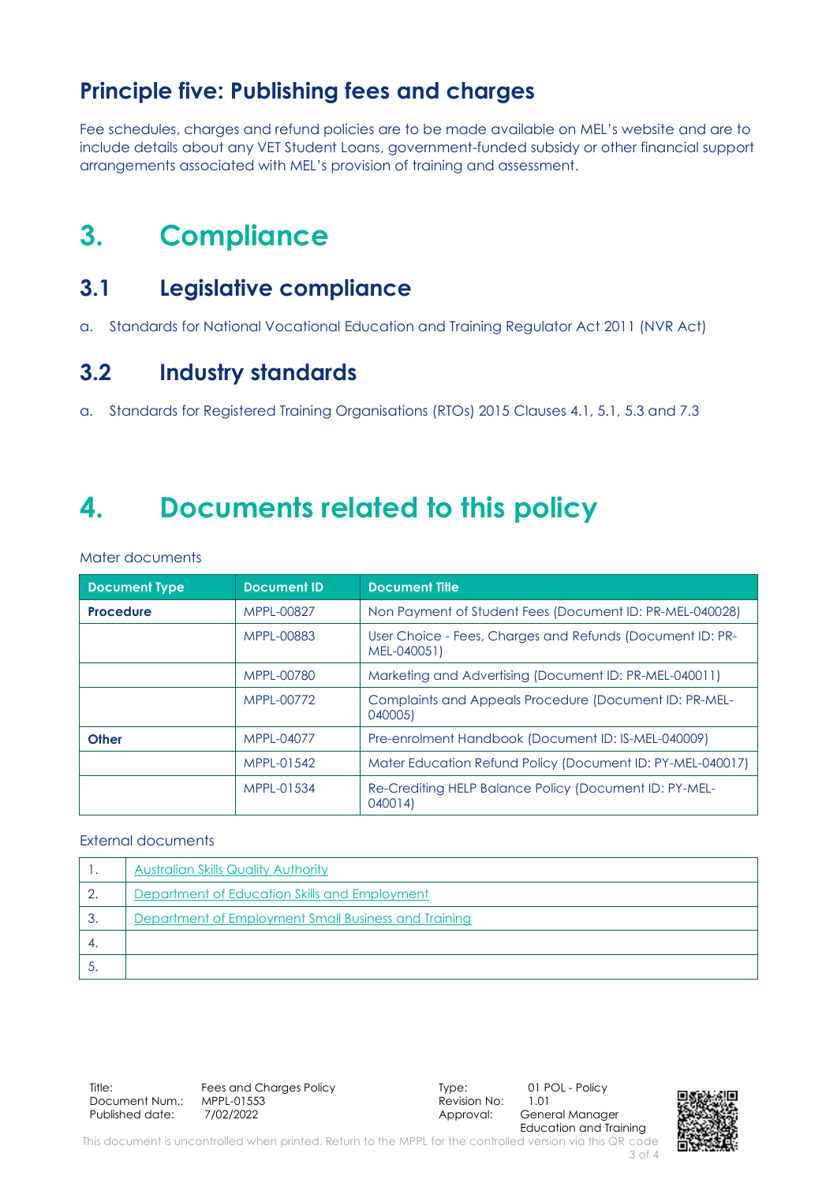### **Principle five: Publishing fees and charges**

Fee schedules, charges and refund policies are to be made available on MEL's website and are to include details about any VET Student Loans, government-funded subsidy or other financial support arrangements associated with MEL's provision of training and assessment.

## <span id="page-2-0"></span>**3. Compliance**

### **3.1 Legislative compliance**

a. Standards for National Vocational Education and Training Regulator Act 2011 (NVR Act)

#### **3.2 Industry standards**

a. Standards for Registered Training Organisations (RTOs) 2015 Clauses 4.1, 5.1, 5.3 and 7.3

### <span id="page-2-1"></span>**4. Documents related to this policy**

Mater documents

| <b>Document Type</b> | <b>Document ID</b> | <b>Document Title</b>                                                    |  |
|----------------------|--------------------|--------------------------------------------------------------------------|--|
| <b>Procedure</b>     | MPPL-00827         | Non Payment of Student Fees (Document ID: PR-MEL-040028)                 |  |
|                      | MPPL-00883         | User Choice - Fees, Charges and Refunds (Document ID: PR-<br>MEL-040051) |  |
|                      | MPPL-00780         | Marketing and Advertising (Document ID: PR-MEL-040011)                   |  |
|                      | MPPL-00772         | Complaints and Appeals Procedure (Document ID: PR-MEL-<br>040005)        |  |
| <b>Other</b>         | MPPL-04077         | Pre-enrolment Handbook (Document ID: IS-MEL-040009)                      |  |
|                      | MPPL-01542         | Mater Education Refund Policy (Document ID: PY-MEL-040017)               |  |
|                      | MPPL-01534         | Re-Crediting HELP Balance Policy (Document ID: PY-MEL-<br>040014         |  |

#### External documents

|    | <b>Australian Skills Quality Authority</b>           |
|----|------------------------------------------------------|
|    | Department of Education Skills and Employment        |
| ು. | Department of Employment Small Business and Training |
|    |                                                      |
|    |                                                      |

Title: Fees and Charges Policy Form Type: 01 POL - Policy<br>Document Num.: MPPL-01553 Document Num.: Published date: 7/02/2022 **Approval:** General Manager

Education and Training